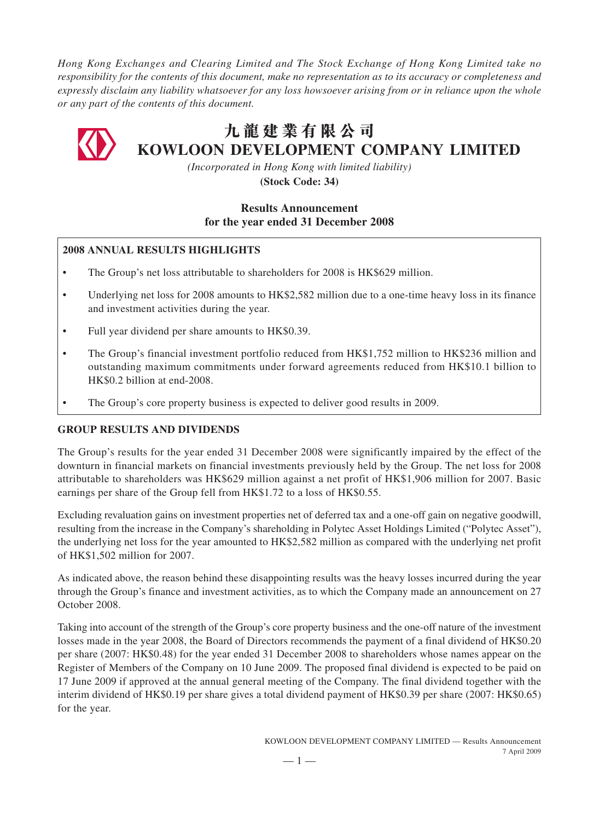*Hong Kong Exchanges and Clearing Limited and The Stock Exchange of Hong Kong Limited take no responsibility for the contents of this document, make no representation as to its accuracy or completeness and expressly disclaim any liability whatsoever for any loss howsoever arising from or in reliance upon the whole or any part of the contents of this document.*



# **九龍建業有限公司 KOWLOON DEVELOPMENT COMPANY LIMITED**

*(Incorporated in Hong Kong with limited liability)*

**(Stock Code: 34)**

# **Results Announcement for the year ended 31 December 2008**

# **2008 ANNUAL RESULTS HIGHLIGHTS**

- The Group's net loss attributable to shareholders for 2008 is HK\$629 million.
- Underlying net loss for 2008 amounts to HK\$2,582 million due to a one-time heavy loss in its finance and investment activities during the year.
- Full year dividend per share amounts to HK\$0.39.
- The Group's financial investment portfolio reduced from HK\$1,752 million to HK\$236 million and outstanding maximum commitments under forward agreements reduced from HK\$10.1 billion to HK\$0.2 billion at end-2008.
- The Group's core property business is expected to deliver good results in 2009.

# **GROUP RESULTS AND DIVIDENDS**

The Group's results for the year ended 31 December 2008 were significantly impaired by the effect of the downturn in financial markets on financial investments previously held by the Group. The net loss for 2008 attributable to shareholders was HK\$629 million against a net profit of HK\$1,906 million for 2007. Basic earnings per share of the Group fell from HK\$1.72 to a loss of HK\$0.55.

Excluding revaluation gains on investment properties net of deferred tax and a one-off gain on negative goodwill, resulting from the increase in the Company's shareholding in Polytec Asset Holdings Limited ("Polytec Asset"), the underlying net loss for the year amounted to HK\$2,582 million as compared with the underlying net profit of HK\$1,502 million for 2007.

As indicated above, the reason behind these disappointing results was the heavy losses incurred during the year through the Group's finance and investment activities, as to which the Company made an announcement on 27 October 2008.

Taking into account of the strength of the Group's core property business and the one-off nature of the investment losses made in the year 2008, the Board of Directors recommends the payment of a final dividend of HK\$0.20 per share (2007: HK\$0.48) for the year ended 31 December 2008 to shareholders whose names appear on the Register of Members of the Company on 10 June 2009. The proposed final dividend is expected to be paid on 17 June 2009 if approved at the annual general meeting of the Company. The final dividend together with the interim dividend of HK\$0.19 per share gives a total dividend payment of HK\$0.39 per share (2007: HK\$0.65) for the year.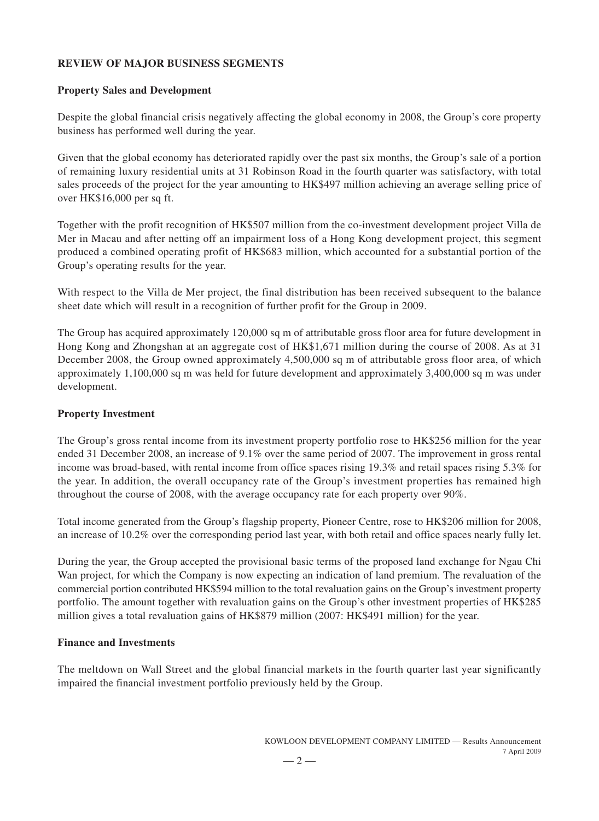# **REVIEW OF MAJOR BUSINESS SEGMENTS**

## **Property Sales and Development**

Despite the global financial crisis negatively affecting the global economy in 2008, the Group's core property business has performed well during the year.

Given that the global economy has deteriorated rapidly over the past six months, the Group's sale of a portion of remaining luxury residential units at 31 Robinson Road in the fourth quarter was satisfactory, with total sales proceeds of the project for the year amounting to HK\$497 million achieving an average selling price of over HK\$16,000 per sq ft.

Together with the profit recognition of HK\$507 million from the co-investment development project Villa de Mer in Macau and after netting off an impairment loss of a Hong Kong development project, this segment produced a combined operating profit of HK\$683 million, which accounted for a substantial portion of the Group's operating results for the year.

With respect to the Villa de Mer project, the final distribution has been received subsequent to the balance sheet date which will result in a recognition of further profit for the Group in 2009.

The Group has acquired approximately 120,000 sq m of attributable gross floor area for future development in Hong Kong and Zhongshan at an aggregate cost of HK\$1,671 million during the course of 2008. As at 31 December 2008, the Group owned approximately 4,500,000 sq m of attributable gross floor area, of which approximately 1,100,000 sq m was held for future development and approximately 3,400,000 sq m was under development.

## **Property Investment**

The Group's gross rental income from its investment property portfolio rose to HK\$256 million for the year ended 31 December 2008, an increase of 9.1% over the same period of 2007. The improvement in gross rental income was broad-based, with rental income from office spaces rising 19.3% and retail spaces rising 5.3% for the year. In addition, the overall occupancy rate of the Group's investment properties has remained high throughout the course of 2008, with the average occupancy rate for each property over 90%.

Total income generated from the Group's flagship property, Pioneer Centre, rose to HK\$206 million for 2008, an increase of 10.2% over the corresponding period last year, with both retail and office spaces nearly fully let.

During the year, the Group accepted the provisional basic terms of the proposed land exchange for Ngau Chi Wan project, for which the Company is now expecting an indication of land premium. The revaluation of the commercial portion contributed HK\$594 million to the total revaluation gains on the Group's investment property portfolio. The amount together with revaluation gains on the Group's other investment properties of HK\$285 million gives a total revaluation gains of HK\$879 million (2007: HK\$491 million) for the year.

## **Finance and Investments**

The meltdown on Wall Street and the global financial markets in the fourth quarter last year significantly impaired the financial investment portfolio previously held by the Group.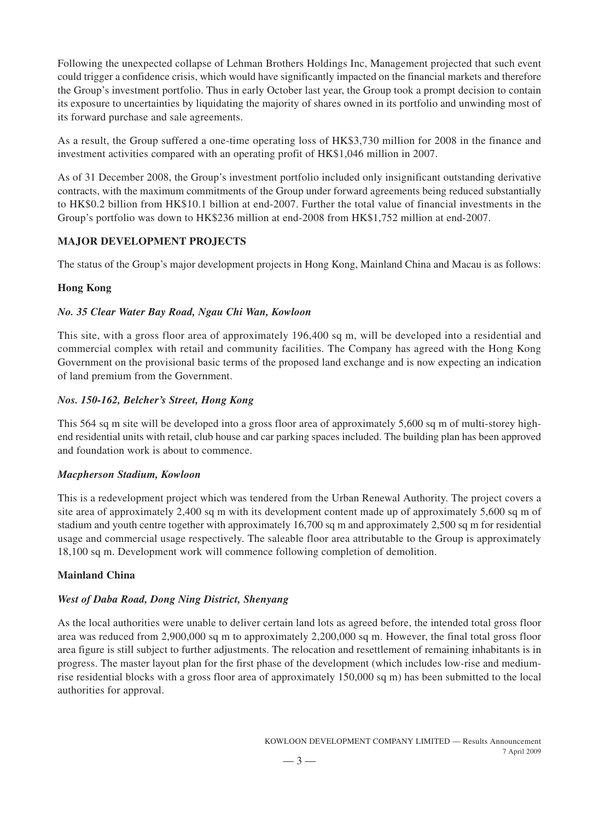Following the unexpected collapse of Lehman Brothers Holdings Inc, Management projected that such event could trigger a confidence crisis, which would have significantly impacted on the financial markets and therefore the Group's investment portfolio. Thus in early October last year, the Group took a prompt decision to contain its exposure to uncertainties by liquidating the majority of shares owned in its portfolio and unwinding most of its forward purchase and sale agreements.

As a result, the Group suffered a one-time operating loss of HK\$3,730 million for 2008 in the finance and investment activities compared with an operating profit of HK\$1,046 million in 2007.

As of 31 December 2008, the Group's investment portfolio included only insignificant outstanding derivative contracts, with the maximum commitments of the Group under forward agreements being reduced substantially to HK\$0.2 billion from HK\$10.1 billion at end-2007. Further the total value of financial investments in the Group's portfolio was down to HK\$236 million at end-2008 from HK\$1,752 million at end-2007.

## **MAJOR DEVELOPMENT PROJECTS**

The status of the Group's major development projects in Hong Kong, Mainland China and Macau is as follows:

## **Hong Kong**

## *No. 35 Clear Water Bay Road, Ngau Chi Wan, Kowloon*

This site, with a gross floor area of approximately 196,400 sq m, will be developed into a residential and commercial complex with retail and community facilities. The Company has agreed with the Hong Kong Government on the provisional basic terms of the proposed land exchange and is now expecting an indication of land premium from the Government.

# *Nos. 150-162, Belcher's Street, Hong Kong*

This 564 sq m site will be developed into a gross floor area of approximately 5,600 sq m of multi-storey highend residential units with retail, club house and car parking spaces included. The building plan has been approved and foundation work is about to commence.

## *Macpherson Stadium, Kowloon*

This is a redevelopment project which was tendered from the Urban Renewal Authority. The project covers a site area of approximately 2,400 sq m with its development content made up of approximately 5,600 sq m of stadium and youth centre together with approximately 16,700 sq m and approximately 2,500 sq m for residential usage and commercial usage respectively. The saleable floor area attributable to the Group is approximately 18,100 sq m. Development work will commence following completion of demolition.

## **Mainland China**

# *West of Daba Road, Dong Ning District, Shenyang*

As the local authorities were unable to deliver certain land lots as agreed before, the intended total gross floor area was reduced from 2,900,000 sq m to approximately 2,200,000 sq m. However, the final total gross floor area figure is still subject to further adjustments. The relocation and resettlement of remaining inhabitants is in progress. The master layout plan for the first phase of the development (which includes low-rise and mediumrise residential blocks with a gross floor area of approximately 150,000 sq m) has been submitted to the local authorities for approval.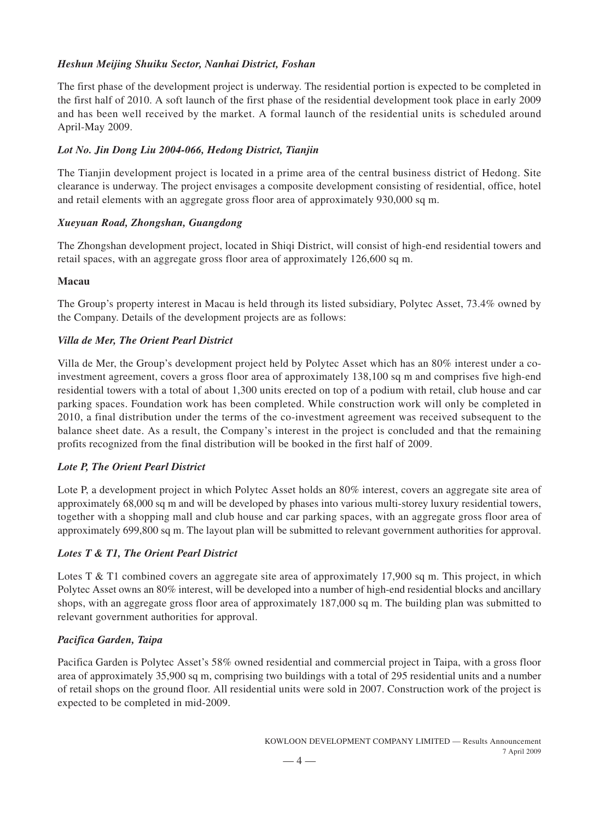# *Heshun Meijing Shuiku Sector, Nanhai District, Foshan*

The first phase of the development project is underway. The residential portion is expected to be completed in the first half of 2010. A soft launch of the first phase of the residential development took place in early 2009 and has been well received by the market. A formal launch of the residential units is scheduled around April-May 2009.

# *Lot No. Jin Dong Liu 2004-066, Hedong District, Tianjin*

The Tianjin development project is located in a prime area of the central business district of Hedong. Site clearance is underway. The project envisages a composite development consisting of residential, office, hotel and retail elements with an aggregate gross floor area of approximately 930,000 sq m.

# *Xueyuan Road, Zhongshan, Guangdong*

The Zhongshan development project, located in Shiqi District, will consist of high-end residential towers and retail spaces, with an aggregate gross floor area of approximately 126,600 sq m.

# **Macau**

The Group's property interest in Macau is held through its listed subsidiary, Polytec Asset, 73.4% owned by the Company. Details of the development projects are as follows:

# *Villa de Mer, The Orient Pearl District*

Villa de Mer, the Group's development project held by Polytec Asset which has an 80% interest under a coinvestment agreement, covers a gross floor area of approximately 138,100 sq m and comprises five high-end residential towers with a total of about 1,300 units erected on top of a podium with retail, club house and car parking spaces. Foundation work has been completed. While construction work will only be completed in 2010, a final distribution under the terms of the co-investment agreement was received subsequent to the balance sheet date. As a result, the Company's interest in the project is concluded and that the remaining profits recognized from the final distribution will be booked in the first half of 2009.

# *Lote P, The Orient Pearl District*

Lote P, a development project in which Polytec Asset holds an 80% interest, covers an aggregate site area of approximately 68,000 sq m and will be developed by phases into various multi-storey luxury residential towers, together with a shopping mall and club house and car parking spaces, with an aggregate gross floor area of approximately 699,800 sq m. The layout plan will be submitted to relevant government authorities for approval.

# *Lotes T & T1, The Orient Pearl District*

Lotes T & T1 combined covers an aggregate site area of approximately 17,900 sq m. This project, in which Polytec Asset owns an 80% interest, will be developed into a number of high-end residential blocks and ancillary shops, with an aggregate gross floor area of approximately 187,000 sq m. The building plan was submitted to relevant government authorities for approval.

# *Pacifica Garden, Taipa*

Pacifica Garden is Polytec Asset's 58% owned residential and commercial project in Taipa, with a gross floor area of approximately 35,900 sq m, comprising two buildings with a total of 295 residential units and a number of retail shops on the ground floor. All residential units were sold in 2007. Construction work of the project is expected to be completed in mid-2009.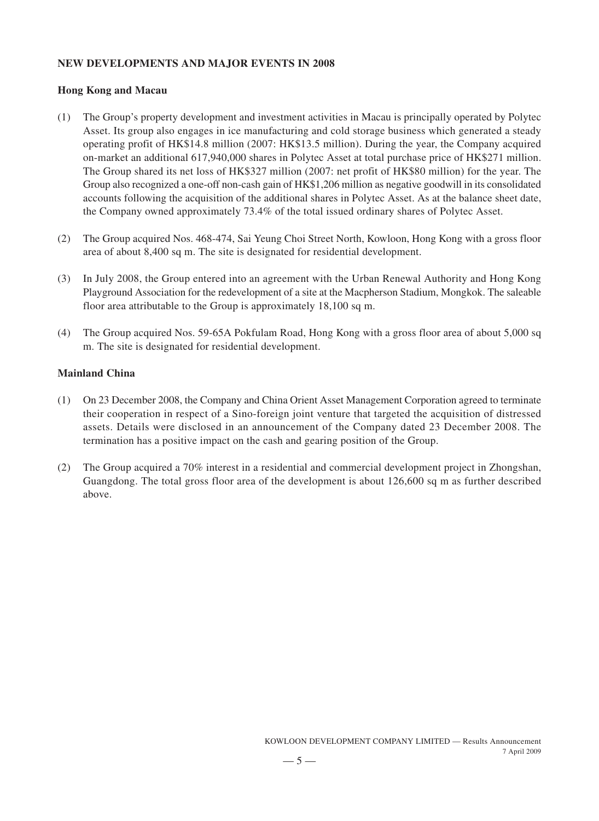# **NEW DEVELOPMENTS AND MAJOR EVENTS IN 2008**

# **Hong Kong and Macau**

- (1) The Group's property development and investment activities in Macau is principally operated by Polytec Asset. Its group also engages in ice manufacturing and cold storage business which generated a steady operating profit of HK\$14.8 million (2007: HK\$13.5 million). During the year, the Company acquired on-market an additional 617,940,000 shares in Polytec Asset at total purchase price of HK\$271 million. The Group shared its net loss of HK\$327 million (2007: net profit of HK\$80 million) for the year. The Group also recognized a one-off non-cash gain of HK\$1,206 million as negative goodwill in its consolidated accounts following the acquisition of the additional shares in Polytec Asset. As at the balance sheet date, the Company owned approximately 73.4% of the total issued ordinary shares of Polytec Asset.
- (2) The Group acquired Nos. 468-474, Sai Yeung Choi Street North, Kowloon, Hong Kong with a gross floor area of about 8,400 sq m. The site is designated for residential development.
- (3) In July 2008, the Group entered into an agreement with the Urban Renewal Authority and Hong Kong Playground Association for the redevelopment of a site at the Macpherson Stadium, Mongkok. The saleable floor area attributable to the Group is approximately 18,100 sq m.
- (4) The Group acquired Nos. 59-65A Pokfulam Road, Hong Kong with a gross floor area of about 5,000 sq m. The site is designated for residential development.

# **Mainland China**

- (1) On 23 December 2008, the Company and China Orient Asset Management Corporation agreed to terminate their cooperation in respect of a Sino-foreign joint venture that targeted the acquisition of distressed assets. Details were disclosed in an announcement of the Company dated 23 December 2008. The termination has a positive impact on the cash and gearing position of the Group.
- (2) The Group acquired a 70% interest in a residential and commercial development project in Zhongshan, Guangdong. The total gross floor area of the development is about 126,600 sq m as further described above.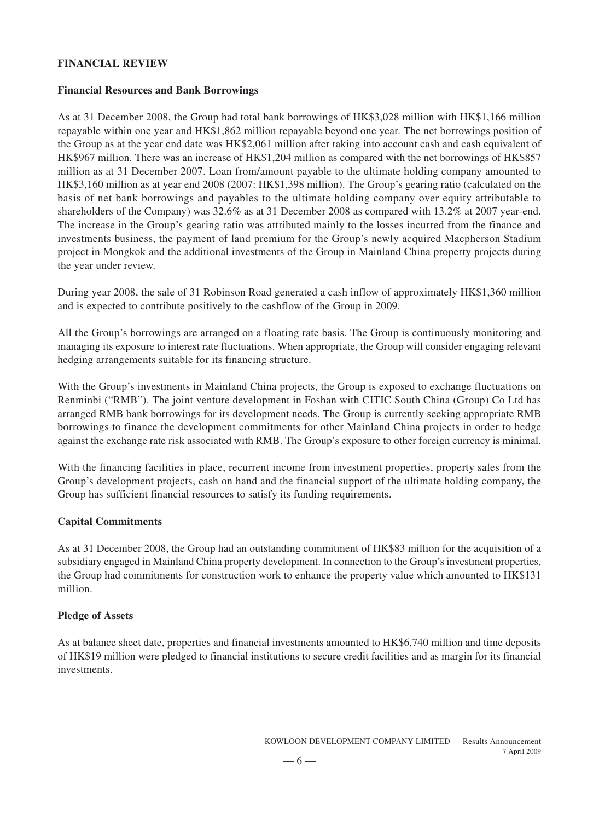# **FINANCIAL REVIEW**

#### **Financial Resources and Bank Borrowings**

As at 31 December 2008, the Group had total bank borrowings of HK\$3,028 million with HK\$1,166 million repayable within one year and HK\$1,862 million repayable beyond one year. The net borrowings position of the Group as at the year end date was HK\$2,061 million after taking into account cash and cash equivalent of HK\$967 million. There was an increase of HK\$1,204 million as compared with the net borrowings of HK\$857 million as at 31 December 2007. Loan from/amount payable to the ultimate holding company amounted to HK\$3,160 million as at year end 2008 (2007: HK\$1,398 million). The Group's gearing ratio (calculated on the basis of net bank borrowings and payables to the ultimate holding company over equity attributable to shareholders of the Company) was 32.6% as at 31 December 2008 as compared with 13.2% at 2007 year-end. The increase in the Group's gearing ratio was attributed mainly to the losses incurred from the finance and investments business, the payment of land premium for the Group's newly acquired Macpherson Stadium project in Mongkok and the additional investments of the Group in Mainland China property projects during the year under review.

During year 2008, the sale of 31 Robinson Road generated a cash inflow of approximately HK\$1,360 million and is expected to contribute positively to the cashflow of the Group in 2009.

All the Group's borrowings are arranged on a floating rate basis. The Group is continuously monitoring and managing its exposure to interest rate fluctuations. When appropriate, the Group will consider engaging relevant hedging arrangements suitable for its financing structure.

With the Group's investments in Mainland China projects, the Group is exposed to exchange fluctuations on Renminbi ("RMB"). The joint venture development in Foshan with CITIC South China (Group) Co Ltd has arranged RMB bank borrowings for its development needs. The Group is currently seeking appropriate RMB borrowings to finance the development commitments for other Mainland China projects in order to hedge against the exchange rate risk associated with RMB. The Group's exposure to other foreign currency is minimal.

With the financing facilities in place, recurrent income from investment properties, property sales from the Group's development projects, cash on hand and the financial support of the ultimate holding company, the Group has sufficient financial resources to satisfy its funding requirements.

## **Capital Commitments**

As at 31 December 2008, the Group had an outstanding commitment of HK\$83 million for the acquisition of a subsidiary engaged in Mainland China property development. In connection to the Group's investment properties, the Group had commitments for construction work to enhance the property value which amounted to HK\$131 million.

#### **Pledge of Assets**

As at balance sheet date, properties and financial investments amounted to HK\$6,740 million and time deposits of HK\$19 million were pledged to financial institutions to secure credit facilities and as margin for its financial investments.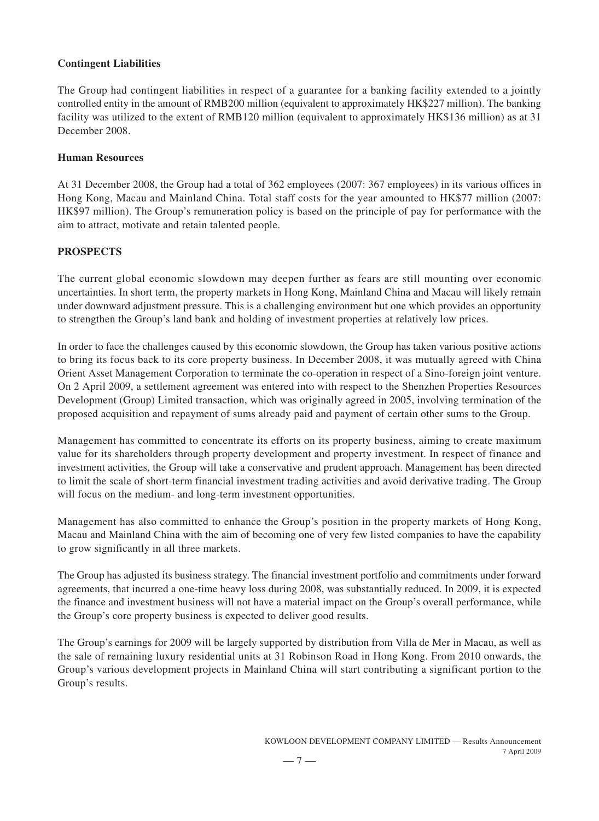## **Contingent Liabilities**

The Group had contingent liabilities in respect of a guarantee for a banking facility extended to a jointly controlled entity in the amount of RMB200 million (equivalent to approximately HK\$227 million). The banking facility was utilized to the extent of RMB120 million (equivalent to approximately HK\$136 million) as at 31 December 2008.

## **Human Resources**

At 31 December 2008, the Group had a total of 362 employees (2007: 367 employees) in its various offices in Hong Kong, Macau and Mainland China. Total staff costs for the year amounted to HK\$77 million (2007: HK\$97 million). The Group's remuneration policy is based on the principle of pay for performance with the aim to attract, motivate and retain talented people.

## **PROSPECTS**

The current global economic slowdown may deepen further as fears are still mounting over economic uncertainties. In short term, the property markets in Hong Kong, Mainland China and Macau will likely remain under downward adjustment pressure. This is a challenging environment but one which provides an opportunity to strengthen the Group's land bank and holding of investment properties at relatively low prices.

In order to face the challenges caused by this economic slowdown, the Group has taken various positive actions to bring its focus back to its core property business. In December 2008, it was mutually agreed with China Orient Asset Management Corporation to terminate the co-operation in respect of a Sino-foreign joint venture. On 2 April 2009, a settlement agreement was entered into with respect to the Shenzhen Properties Resources Development (Group) Limited transaction, which was originally agreed in 2005, involving termination of the proposed acquisition and repayment of sums already paid and payment of certain other sums to the Group.

Management has committed to concentrate its efforts on its property business, aiming to create maximum value for its shareholders through property development and property investment. In respect of finance and investment activities, the Group will take a conservative and prudent approach. Management has been directed to limit the scale of short-term financial investment trading activities and avoid derivative trading. The Group will focus on the medium- and long-term investment opportunities.

Management has also committed to enhance the Group's position in the property markets of Hong Kong, Macau and Mainland China with the aim of becoming one of very few listed companies to have the capability to grow significantly in all three markets.

The Group has adjusted its business strategy. The financial investment portfolio and commitments under forward agreements, that incurred a one-time heavy loss during 2008, was substantially reduced. In 2009, it is expected the finance and investment business will not have a material impact on the Group's overall performance, while the Group's core property business is expected to deliver good results.

The Group's earnings for 2009 will be largely supported by distribution from Villa de Mer in Macau, as well as the sale of remaining luxury residential units at 31 Robinson Road in Hong Kong. From 2010 onwards, the Group's various development projects in Mainland China will start contributing a significant portion to the Group's results.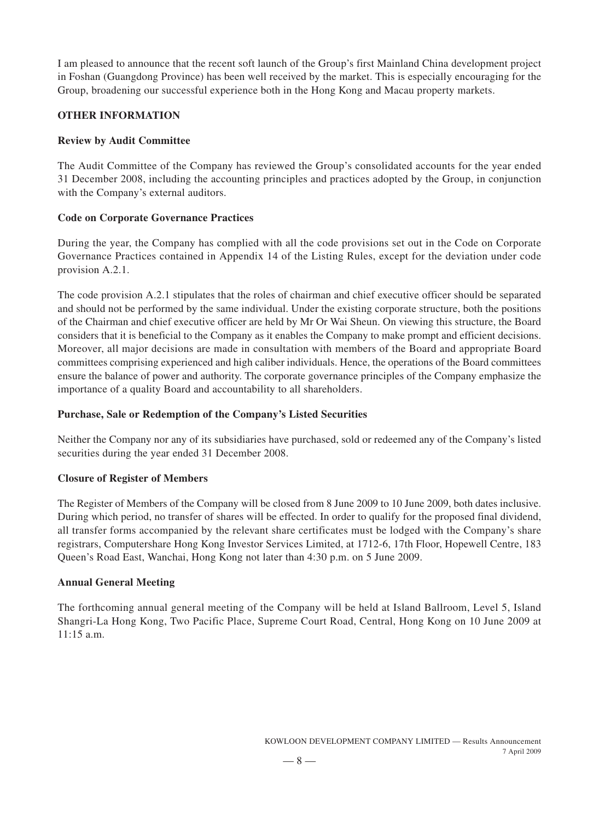I am pleased to announce that the recent soft launch of the Group's first Mainland China development project in Foshan (Guangdong Province) has been well received by the market. This is especially encouraging for the Group, broadening our successful experience both in the Hong Kong and Macau property markets.

## **OTHER INFORMATION**

## **Review by Audit Committee**

The Audit Committee of the Company has reviewed the Group's consolidated accounts for the year ended 31 December 2008, including the accounting principles and practices adopted by the Group, in conjunction with the Company's external auditors.

## **Code on Corporate Governance Practices**

During the year, the Company has complied with all the code provisions set out in the Code on Corporate Governance Practices contained in Appendix 14 of the Listing Rules, except for the deviation under code provision A.2.1.

The code provision A.2.1 stipulates that the roles of chairman and chief executive officer should be separated and should not be performed by the same individual. Under the existing corporate structure, both the positions of the Chairman and chief executive officer are held by Mr Or Wai Sheun. On viewing this structure, the Board considers that it is beneficial to the Company as it enables the Company to make prompt and efficient decisions. Moreover, all major decisions are made in consultation with members of the Board and appropriate Board committees comprising experienced and high caliber individuals. Hence, the operations of the Board committees ensure the balance of power and authority. The corporate governance principles of the Company emphasize the importance of a quality Board and accountability to all shareholders.

# **Purchase, Sale or Redemption of the Company's Listed Securities**

Neither the Company nor any of its subsidiaries have purchased, sold or redeemed any of the Company's listed securities during the year ended 31 December 2008.

## **Closure of Register of Members**

The Register of Members of the Company will be closed from 8 June 2009 to 10 June 2009, both dates inclusive. During which period, no transfer of shares will be effected. In order to qualify for the proposed final dividend, all transfer forms accompanied by the relevant share certificates must be lodged with the Company's share registrars, Computershare Hong Kong Investor Services Limited, at 1712-6, 17th Floor, Hopewell Centre, 183 Queen's Road East, Wanchai, Hong Kong not later than 4:30 p.m. on 5 June 2009.

## **Annual General Meeting**

The forthcoming annual general meeting of the Company will be held at Island Ballroom, Level 5, Island Shangri-La Hong Kong, Two Pacific Place, Supreme Court Road, Central, Hong Kong on 10 June 2009 at 11:15 a.m.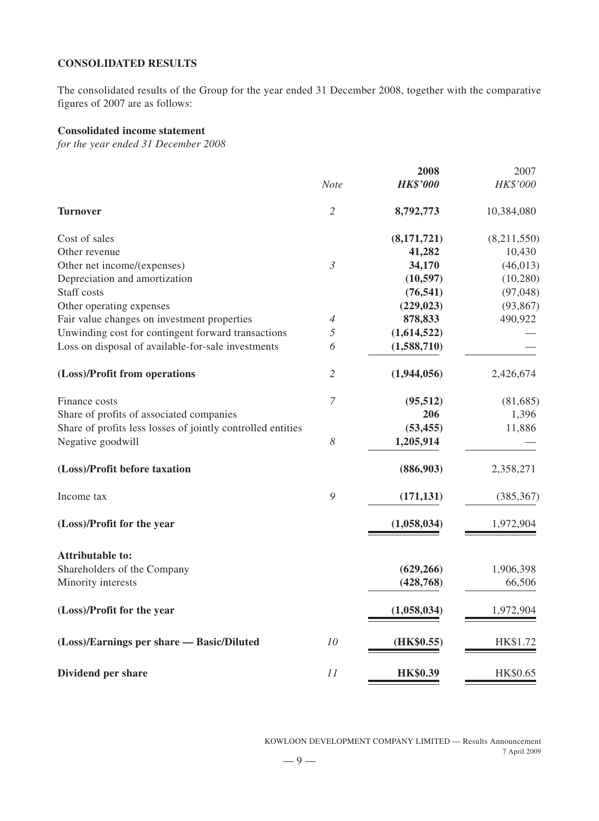#### **CONSOLIDATED RESULTS**

The consolidated results of the Group for the year ended 31 December 2008, together with the comparative figures of 2007 are as follows:

#### **Consolidated income statement**

*for the year ended 31 December 2008*

|                                                             |                       | 2008            | 2007        |
|-------------------------------------------------------------|-----------------------|-----------------|-------------|
|                                                             | <b>Note</b>           | <b>HK\$'000</b> | HK\$'000    |
| <b>Turnover</b>                                             | $\overline{2}$        | 8,792,773       | 10,384,080  |
| Cost of sales                                               |                       | (8,171,721)     | (8,211,550) |
| Other revenue                                               |                       | 41,282          | 10,430      |
| Other net income/(expenses)                                 | $\mathfrak{Z}$        | 34,170          | (46, 013)   |
| Depreciation and amortization                               |                       | (10, 597)       | (10, 280)   |
| Staff costs                                                 |                       | (76, 541)       | (97, 048)   |
| Other operating expenses                                    |                       | (229, 023)      | (93, 867)   |
| Fair value changes on investment properties                 | 4                     | 878,833         | 490,922     |
| Unwinding cost for contingent forward transactions          | $\sqrt{2}$            | (1,614,522)     |             |
| Loss on disposal of available-for-sale investments          | 6                     | (1,588,710)     |             |
| (Loss)/Profit from operations                               | $\overline{2}$        | (1,944,056)     | 2,426,674   |
| Finance costs                                               | $\overline{7}$        | (95, 512)       | (81,685)    |
| Share of profits of associated companies                    |                       | 206             | 1,396       |
| Share of profits less losses of jointly controlled entities |                       | (53, 455)       | 11,886      |
| Negative goodwill                                           | $\boldsymbol{\delta}$ | 1,205,914       |             |
| (Loss)/Profit before taxation                               |                       | (886,903)       | 2,358,271   |
| Income tax                                                  | 9                     | (171, 131)      | (385, 367)  |
| (Loss)/Profit for the year                                  |                       | (1,058,034)     | 1,972,904   |
| <b>Attributable to:</b>                                     |                       |                 |             |
| Shareholders of the Company                                 |                       | (629, 266)      | 1,906,398   |
| Minority interests                                          |                       | (428, 768)      | 66,506      |
| (Loss)/Profit for the year                                  |                       | (1,058,034)     | 1,972,904   |
| (Loss)/Earnings per share — Basic/Diluted                   | 10                    | (HK\$0.55)      | HK\$1.72    |
| Dividend per share                                          | 11                    | <b>HK\$0.39</b> | HK\$0.65    |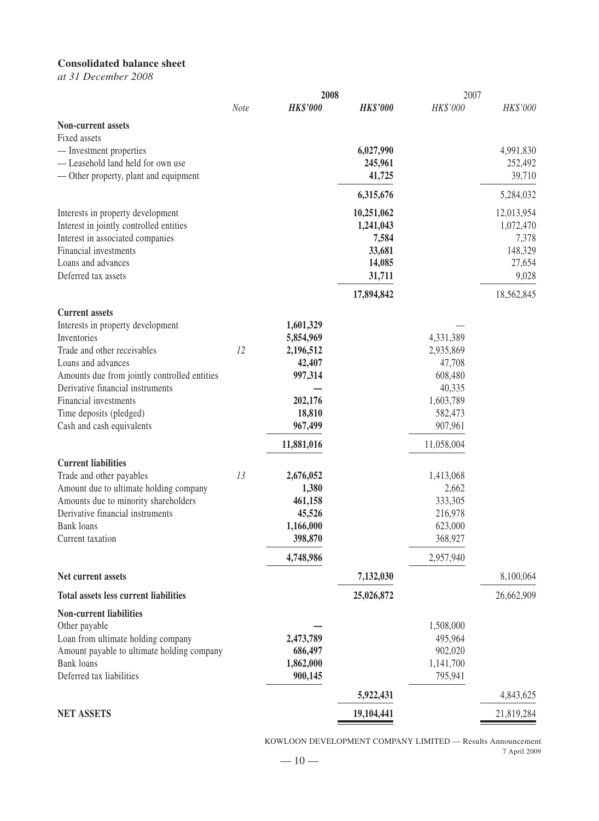# **Consolidated balance sheet**

*at 31 December 2008*

|                                                            |             | 2008            |                  | 2007       |                 |
|------------------------------------------------------------|-------------|-----------------|------------------|------------|-----------------|
|                                                            | <b>Note</b> | <b>HK\$'000</b> | <b>HK\$'000</b>  | HK\$'000   | HK\$'000        |
| <b>Non-current assets</b>                                  |             |                 |                  |            |                 |
| Fixed assets                                               |             |                 |                  |            |                 |
| — Investment properties                                    |             |                 | 6,027,990        |            | 4,991,830       |
| - Leasehold land held for own use                          |             |                 | 245,961          |            | 252,492         |
| — Other property, plant and equipment                      |             |                 | 41,725           |            | 39,710          |
|                                                            |             |                 | 6,315,676        |            | 5,284,032       |
| Interests in property development                          |             |                 | 10,251,062       |            | 12,013,954      |
| Interest in jointly controlled entities                    |             |                 | 1,241,043        |            | 1,072,470       |
| Interest in associated companies<br>Financial investments  |             |                 | 7,584            |            | 7,378           |
| Loans and advances                                         |             |                 | 33,681           |            | 148,329         |
| Deferred tax assets                                        |             |                 | 14,085<br>31,711 |            | 27,654<br>9,028 |
|                                                            |             |                 |                  |            |                 |
|                                                            |             |                 | 17,894,842       |            | 18,562,845      |
| <b>Current assets</b><br>Interests in property development |             | 1,601,329       |                  |            |                 |
| Inventories                                                |             | 5,854,969       |                  | 4,331,389  |                 |
| Trade and other receivables                                | 12          | 2,196,512       |                  | 2,935,869  |                 |
| Loans and advances                                         |             | 42,407          |                  | 47,708     |                 |
| Amounts due from jointly controlled entities               |             | 997,314         |                  | 608,480    |                 |
| Derivative financial instruments                           |             |                 |                  | 40,335     |                 |
| Financial investments                                      |             | 202,176         |                  | 1,603,789  |                 |
| Time deposits (pledged)                                    |             | 18,810          |                  | 582,473    |                 |
| Cash and cash equivalents                                  |             | 967,499         |                  | 907,961    |                 |
|                                                            |             | 11,881,016      |                  | 11,058,004 |                 |
| <b>Current liabilities</b>                                 |             |                 |                  |            |                 |
| Trade and other payables                                   | 13          | 2,676,052       |                  | 1,413,068  |                 |
| Amount due to ultimate holding company                     |             | 1,380           |                  | 2,662      |                 |
| Amounts due to minority shareholders                       |             | 461,158         |                  | 333,305    |                 |
| Derivative financial instruments                           |             | 45,526          |                  | 216,978    |                 |
| <b>Bank</b> loans                                          |             | 1,166,000       |                  | 623,000    |                 |
| Current taxation                                           |             | 398,870         |                  | 368,927    |                 |
|                                                            |             | 4,748,986       |                  | 2,957,940  |                 |
| Net current assets                                         |             |                 | 7,132,030        |            | 8,100,064       |
| <b>Total assets less current liabilities</b>               |             |                 | 25,026,872       |            | 26,662,909      |
| <b>Non-current liabilities</b>                             |             |                 |                  |            |                 |
| Other payable                                              |             |                 |                  | 1,508,000  |                 |
| Loan from ultimate holding company                         |             | 2,473,789       |                  | 495,964    |                 |
| Amount payable to ultimate holding company                 |             | 686,497         |                  | 902,020    |                 |
| <b>Bank</b> loans                                          |             | 1,862,000       |                  | 1,141,700  |                 |
| Deferred tax liabilities                                   |             | 900,145         |                  | 795,941    |                 |
|                                                            |             |                 | 5,922,431        |            | 4,843,625       |
| <b>NET ASSETS</b>                                          |             |                 | 19,104,441       |            | 21,819,284      |

KOWLOON DEVELOPMENT COMPANY LIMITED — Results Announcement 7 April 2009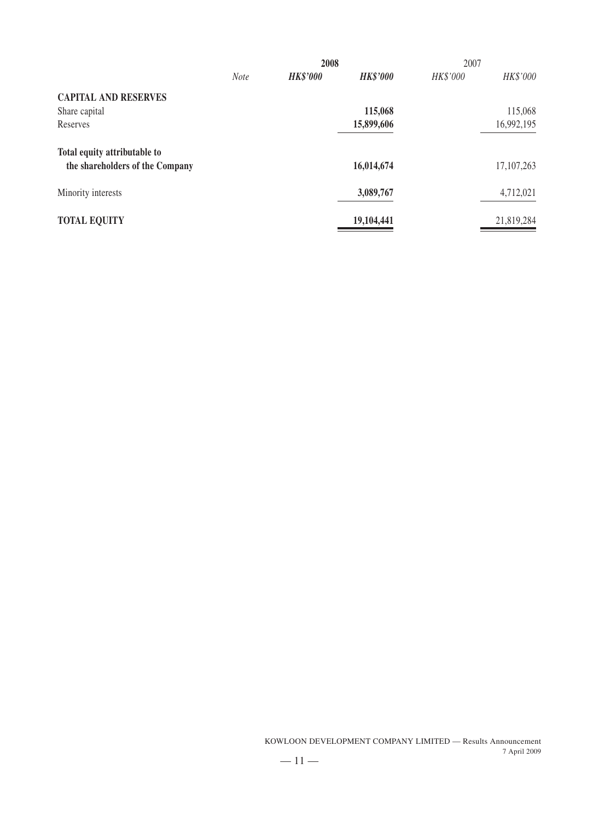|                                                                 |             | 2008            |                 | 2007     |            |
|-----------------------------------------------------------------|-------------|-----------------|-----------------|----------|------------|
|                                                                 | <b>Note</b> | <b>HK\$'000</b> | <b>HK\$'000</b> | HK\$'000 | HK\$'000   |
| <b>CAPITAL AND RESERVES</b>                                     |             |                 |                 |          |            |
| Share capital                                                   |             |                 | 115,068         |          | 115,068    |
| Reserves                                                        |             |                 | 15,899,606      |          | 16,992,195 |
| Total equity attributable to<br>the shareholders of the Company |             |                 | 16,014,674      |          | 17,107,263 |
| Minority interests                                              |             |                 | 3,089,767       |          | 4,712,021  |
| <b>TOTAL EQUITY</b>                                             |             |                 | 19,104,441      |          | 21,819,284 |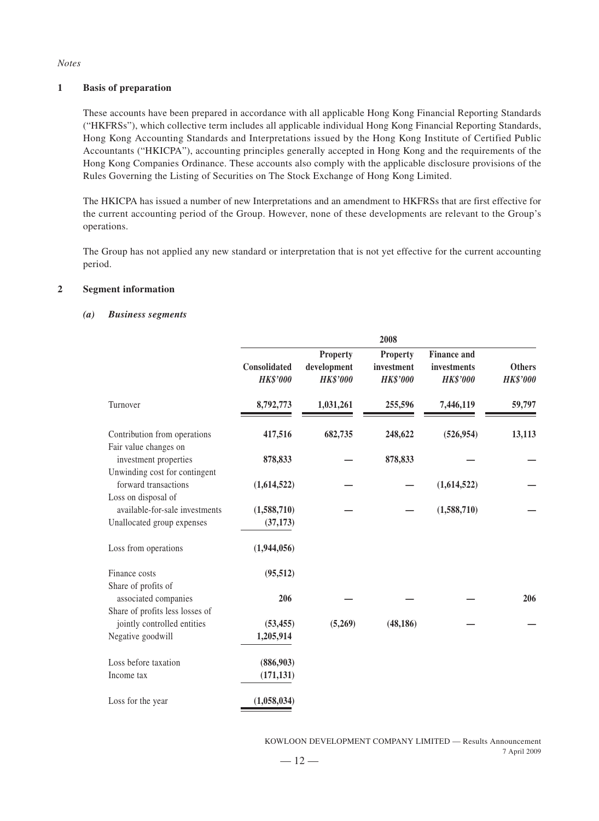#### *Notes*

#### **1 Basis of preparation**

These accounts have been prepared in accordance with all applicable Hong Kong Financial Reporting Standards ("HKFRSs"), which collective term includes all applicable individual Hong Kong Financial Reporting Standards, Hong Kong Accounting Standards and Interpretations issued by the Hong Kong Institute of Certified Public Accountants ("HKICPA"), accounting principles generally accepted in Hong Kong and the requirements of the Hong Kong Companies Ordinance. These accounts also comply with the applicable disclosure provisions of the Rules Governing the Listing of Securities on The Stock Exchange of Hong Kong Limited.

The HKICPA has issued a number of new Interpretations and an amendment to HKFRSs that are first effective for the current accounting period of the Group. However, none of these developments are relevant to the Group's operations.

The Group has not applied any new standard or interpretation that is not yet effective for the current accounting period.

#### **2 Segment information**

#### *(a) Business segments*

|                                                                                     | 2008                            |                                                   |                                                  |                                                      |                                  |
|-------------------------------------------------------------------------------------|---------------------------------|---------------------------------------------------|--------------------------------------------------|------------------------------------------------------|----------------------------------|
|                                                                                     | Consolidated<br><b>HK\$'000</b> | <b>Property</b><br>development<br><b>HK\$'000</b> | <b>Property</b><br>investment<br><b>HK\$'000</b> | <b>Finance and</b><br>investments<br><b>HK\$'000</b> | <b>Others</b><br><b>HK\$'000</b> |
| Turnover                                                                            | 8,792,773                       | 1,031,261                                         | 255,596                                          | 7,446,119                                            | 59,797                           |
| Contribution from operations<br>Fair value changes on                               | 417,516                         | 682,735                                           | 248,622                                          | (526, 954)                                           | 13,113                           |
| investment properties<br>Unwinding cost for contingent                              | 878,833                         |                                                   | 878,833                                          |                                                      |                                  |
| forward transactions                                                                | (1,614,522)                     |                                                   |                                                  | (1,614,522)                                          |                                  |
| Loss on disposal of<br>available-for-sale investments<br>Unallocated group expenses | (1,588,710)<br>(37, 173)        |                                                   |                                                  | (1,588,710)                                          |                                  |
| Loss from operations                                                                | (1,944,056)                     |                                                   |                                                  |                                                      |                                  |
| Finance costs<br>Share of profits of                                                | (95, 512)                       |                                                   |                                                  |                                                      |                                  |
| associated companies                                                                | 206                             |                                                   |                                                  |                                                      | 206                              |
| Share of profits less losses of<br>jointly controlled entities                      | (53, 455)                       | (5,269)                                           | (48, 186)                                        |                                                      |                                  |
| Negative goodwill                                                                   | 1,205,914                       |                                                   |                                                  |                                                      |                                  |
| Loss before taxation                                                                | (886,903)                       |                                                   |                                                  |                                                      |                                  |
| Income tax                                                                          | (171, 131)                      |                                                   |                                                  |                                                      |                                  |
| Loss for the year                                                                   | (1,058,034)                     |                                                   |                                                  |                                                      |                                  |

KOWLOON DEVELOPMENT COMPANY LIMITED — Results Announcement 7 April 2009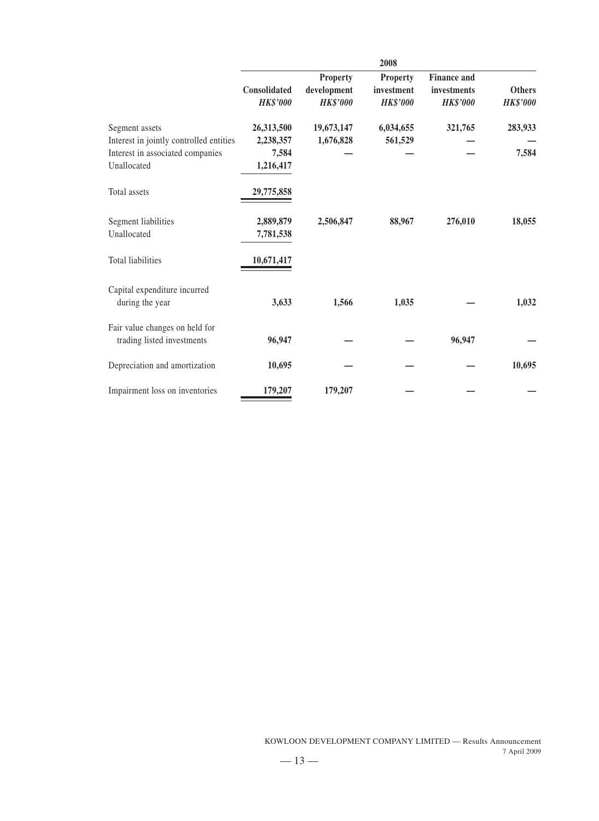|                                                                                               |                                  |                                                   | 2008                                             |                                                      |                                  |
|-----------------------------------------------------------------------------------------------|----------------------------------|---------------------------------------------------|--------------------------------------------------|------------------------------------------------------|----------------------------------|
|                                                                                               | Consolidated<br><b>HK\$'000</b>  | <b>Property</b><br>development<br><b>HK\$'000</b> | <b>Property</b><br>investment<br><b>HK\$'000</b> | <b>Finance and</b><br>investments<br><b>HK\$'000</b> | <b>Others</b><br><b>HK\$'000</b> |
| Segment assets<br>Interest in jointly controlled entities<br>Interest in associated companies | 26,313,500<br>2,238,357<br>7,584 | 19,673,147<br>1,676,828                           | 6,034,655<br>561,529                             | 321,765                                              | 283,933<br>7,584                 |
| Unallocated<br>Total assets                                                                   | 1,216,417<br>29,775,858          |                                                   |                                                  |                                                      |                                  |
| Segment liabilities<br>Unallocated                                                            | 2,889,879<br>7,781,538           | 2,506,847                                         | 88,967                                           | 276,010                                              | 18,055                           |
| <b>Total liabilities</b>                                                                      | 10,671,417                       |                                                   |                                                  |                                                      |                                  |
| Capital expenditure incurred<br>during the year                                               | 3,633                            | 1,566                                             | 1,035                                            |                                                      | 1,032                            |
| Fair value changes on held for<br>trading listed investments                                  | 96,947                           |                                                   |                                                  | 96,947                                               |                                  |
| Depreciation and amortization                                                                 | 10,695                           |                                                   |                                                  |                                                      | 10,695                           |
| Impairment loss on inventories                                                                | 179,207                          | 179,207                                           |                                                  |                                                      |                                  |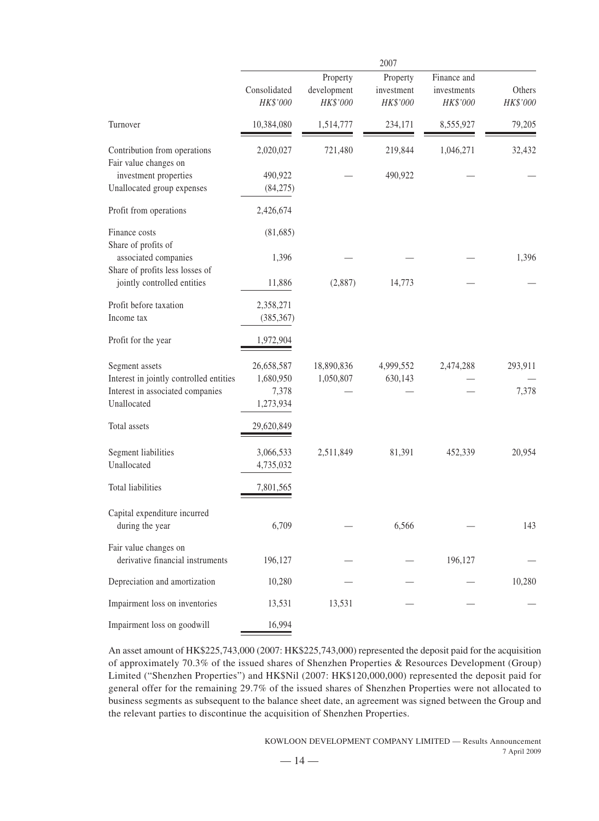|                                                                                                              |                                               |                                     | 2007                               |                                        |                    |
|--------------------------------------------------------------------------------------------------------------|-----------------------------------------------|-------------------------------------|------------------------------------|----------------------------------------|--------------------|
|                                                                                                              | Consolidated<br>HK\$'000                      | Property<br>development<br>HK\$'000 | Property<br>investment<br>HK\$'000 | Finance and<br>investments<br>HK\$'000 | Others<br>HK\$'000 |
| Turnover                                                                                                     | 10,384,080                                    | 1,514,777                           | 234,171                            | 8,555,927                              | 79,205             |
| Contribution from operations<br>Fair value changes on                                                        | 2,020,027                                     | 721,480                             | 219,844                            | 1,046,271                              | 32,432             |
| investment properties<br>Unallocated group expenses                                                          | 490,922<br>(84,275)                           |                                     | 490,922                            |                                        |                    |
| Profit from operations                                                                                       | 2,426,674                                     |                                     |                                    |                                        |                    |
| Finance costs<br>Share of profits of                                                                         | (81, 685)                                     |                                     |                                    |                                        |                    |
| associated companies<br>Share of profits less losses of                                                      | 1,396                                         |                                     |                                    |                                        | 1,396              |
| jointly controlled entities                                                                                  | 11,886                                        | (2,887)                             | 14,773                             |                                        |                    |
| Profit before taxation<br>Income tax                                                                         | 2,358,271<br>(385, 367)                       |                                     |                                    |                                        |                    |
| Profit for the year                                                                                          | 1,972,904                                     |                                     |                                    |                                        |                    |
| Segment assets<br>Interest in jointly controlled entities<br>Interest in associated companies<br>Unallocated | 26,658,587<br>1,680,950<br>7,378<br>1,273,934 | 18,890,836<br>1,050,807             | 4,999,552<br>630,143               | 2,474,288                              | 293,911<br>7,378   |
| Total assets                                                                                                 | 29,620,849                                    |                                     |                                    |                                        |                    |
| Segment liabilities<br>Unallocated                                                                           | 3,066,533<br>4,735,032                        | 2,511,849                           | 81,391                             | 452,339                                | 20,954             |
| Total liabilities                                                                                            | 7,801,565                                     |                                     |                                    |                                        |                    |
| Capital expenditure incurred<br>during the year                                                              | 6,709                                         |                                     | 6,566                              |                                        | 143                |
| Fair value changes on<br>derivative financial instruments                                                    | 196,127                                       |                                     |                                    | 196,127                                |                    |
| Depreciation and amortization                                                                                | 10,280                                        |                                     |                                    |                                        | 10,280             |
| Impairment loss on inventories                                                                               | 13,531                                        | 13,531                              |                                    |                                        |                    |
| Impairment loss on goodwill                                                                                  | 16,994                                        |                                     |                                    |                                        |                    |

An asset amount of HK\$225,743,000 (2007: HK\$225,743,000) represented the deposit paid for the acquisition of approximately 70.3% of the issued shares of Shenzhen Properties & Resources Development (Group) Limited ("Shenzhen Properties") and HK\$Nil (2007: HK\$120,000,000) represented the deposit paid for general offer for the remaining 29.7% of the issued shares of Shenzhen Properties were not allocated to business segments as subsequent to the balance sheet date, an agreement was signed between the Group and the relevant parties to discontinue the acquisition of Shenzhen Properties.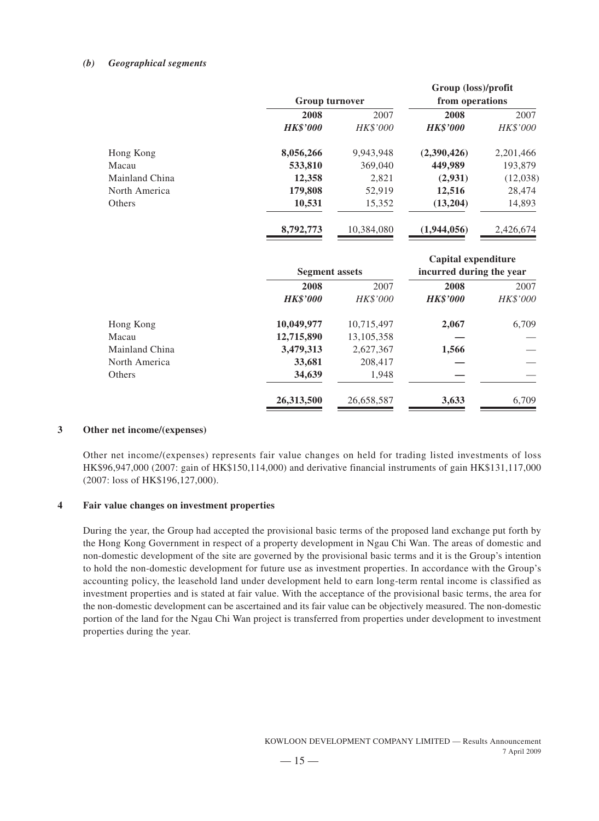#### *(b) Geographical segments*

|                 | <b>Group turnover</b> |                       |                                                                                           |
|-----------------|-----------------------|-----------------------|-------------------------------------------------------------------------------------------|
| 2008            | 2007                  | 2008                  | 2007                                                                                      |
| <b>HK\$'000</b> | HK\$'000              | <b>HK\$'000</b>       | HK\$'000                                                                                  |
| 8,056,266       | 9,943,948             | (2,390,426)           | 2,201,466                                                                                 |
| 533,810         | 369,040               | 449,989               | 193,879                                                                                   |
| 12,358          | 2,821                 | (2,931)               | (12,038)                                                                                  |
| 179,808         | 52,919                | 12,516                | 28,474                                                                                    |
| 10,531          | 15,352                | (13,204)              | 14,893                                                                                    |
| 8,792,773       | 10,384,080            | (1,944,056)           | 2,426,674                                                                                 |
|                 |                       |                       |                                                                                           |
|                 |                       |                       |                                                                                           |
| 2008            | 2007                  | 2008                  | 2007                                                                                      |
| <b>HK\$'000</b> | HK\$'000              | <b>HK\$'000</b>       | HK\$'000                                                                                  |
| 10,049,977      | 10,715,497            | 2,067                 | 6,709                                                                                     |
| 12,715,890      | 13,105,358            |                       |                                                                                           |
| 3,479,313       | 2,627,367             | 1,566                 |                                                                                           |
| 33,681          | 208,417               |                       |                                                                                           |
| 34,639          | 1,948                 |                       |                                                                                           |
| 26,313,500      | 26,658,587            | 3,633                 | 6,709                                                                                     |
|                 |                       | <b>Segment assets</b> | Group (loss)/profit<br>from operations<br>Capital expenditure<br>incurred during the year |

#### **3 Other net income/(expenses)**

Other net income/(expenses) represents fair value changes on held for trading listed investments of loss HK\$96,947,000 (2007: gain of HK\$150,114,000) and derivative financial instruments of gain HK\$131,117,000 (2007: loss of HK\$196,127,000).

#### **4 Fair value changes on investment properties**

During the year, the Group had accepted the provisional basic terms of the proposed land exchange put forth by the Hong Kong Government in respect of a property development in Ngau Chi Wan. The areas of domestic and non-domestic development of the site are governed by the provisional basic terms and it is the Group's intention to hold the non-domestic development for future use as investment properties. In accordance with the Group's accounting policy, the leasehold land under development held to earn long-term rental income is classified as investment properties and is stated at fair value. With the acceptance of the provisional basic terms, the area for the non-domestic development can be ascertained and its fair value can be objectively measured. The non-domestic portion of the land for the Ngau Chi Wan project is transferred from properties under development to investment properties during the year.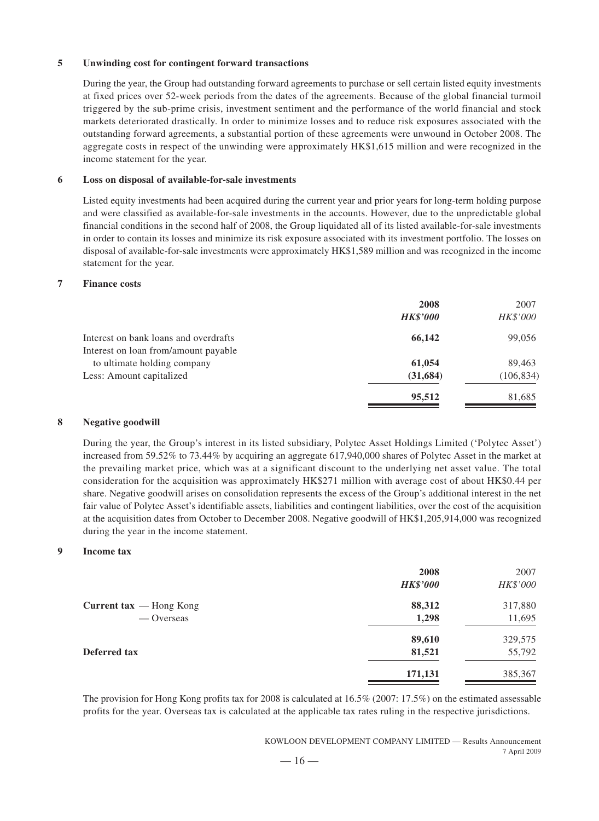#### **5 Unwinding cost for contingent forward transactions**

During the year, the Group had outstanding forward agreements to purchase or sell certain listed equity investments at fixed prices over 52-week periods from the dates of the agreements. Because of the global financial turmoil triggered by the sub-prime crisis, investment sentiment and the performance of the world financial and stock markets deteriorated drastically. In order to minimize losses and to reduce risk exposures associated with the outstanding forward agreements, a substantial portion of these agreements were unwound in October 2008. The aggregate costs in respect of the unwinding were approximately HK\$1,615 million and were recognized in the income statement for the year.

#### **6 Loss on disposal of available-for-sale investments**

Listed equity investments had been acquired during the current year and prior years for long-term holding purpose and were classified as available-for-sale investments in the accounts. However, due to the unpredictable global financial conditions in the second half of 2008, the Group liquidated all of its listed available-for-sale investments in order to contain its losses and minimize its risk exposure associated with its investment portfolio. The losses on disposal of available-for-sale investments were approximately HK\$1,589 million and was recognized in the income statement for the year.

#### **7 Finance costs**

| HK\$'000<br><b>HK\$'000</b> |
|-----------------------------|
| 66,142<br>99,056            |
|                             |
| 61,054<br>89,463            |
| (31, 684)<br>(106, 834)     |
| 95,512<br>81,685            |
|                             |

#### **8 Negative goodwill**

During the year, the Group's interest in its listed subsidiary, Polytec Asset Holdings Limited ('Polytec Asset') increased from 59.52% to 73.44% by acquiring an aggregate 617,940,000 shares of Polytec Asset in the market at the prevailing market price, which was at a significant discount to the underlying net asset value. The total consideration for the acquisition was approximately HK\$271 million with average cost of about HK\$0.44 per share. Negative goodwill arises on consolidation represents the excess of the Group's additional interest in the net fair value of Polytec Asset's identifiable assets, liabilities and contingent liabilities, over the cost of the acquisition at the acquisition dates from October to December 2008. Negative goodwill of HK\$1,205,914,000 was recognized during the year in the income statement.

#### **9 Income tax**

|                                  | 2008            | 2007     |
|----------------------------------|-----------------|----------|
|                                  | <b>HK\$'000</b> | HK\$'000 |
| Current $\text{tax}$ — Hong Kong | 88,312          | 317,880  |
| — Overseas                       | 1,298           | 11,695   |
|                                  | 89,610          | 329,575  |
| <b>Deferred tax</b>              | 81,521          | 55,792   |
|                                  | 171,131         | 385,367  |

The provision for Hong Kong profits tax for 2008 is calculated at 16.5% (2007: 17.5%) on the estimated assessable profits for the year. Overseas tax is calculated at the applicable tax rates ruling in the respective jurisdictions.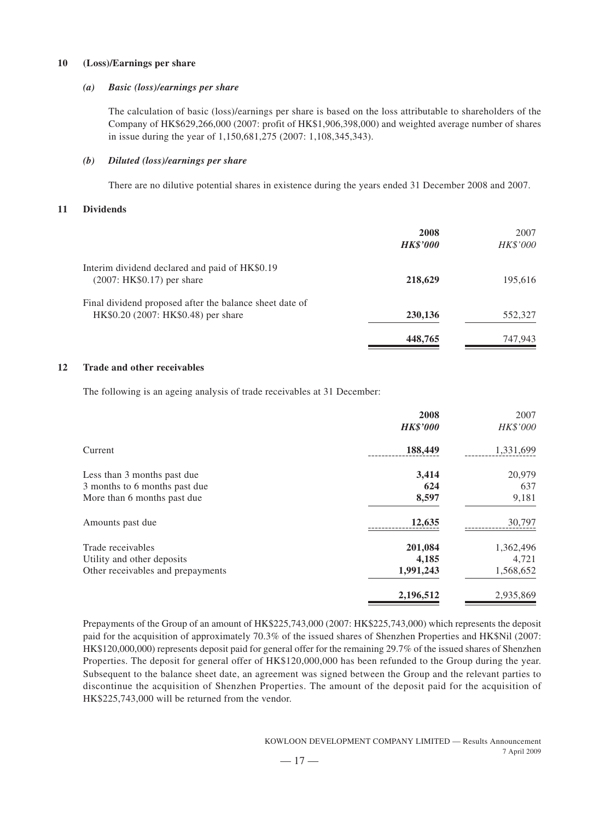#### **10 (Loss)/Earnings per share**

#### *(a) Basic (loss)/earnings per share*

The calculation of basic (loss)/earnings per share is based on the loss attributable to shareholders of the Company of HK\$629,266,000 (2007: profit of HK\$1,906,398,000) and weighted average number of shares in issue during the year of 1,150,681,275 (2007: 1,108,345,343).

#### *(b) Diluted (loss)/earnings per share*

There are no dilutive potential shares in existence during the years ended 31 December 2008 and 2007.

#### **11 Dividends**

|                                                                                                | 2008<br><b>HK\$'000</b> | 2007<br>HK\$'000 |
|------------------------------------------------------------------------------------------------|-------------------------|------------------|
| Interim dividend declared and paid of HK\$0.19<br>$(2007: HK$0.17)$ per share                  | 218,629                 | 195,616          |
| Final dividend proposed after the balance sheet date of<br>HK\$0.20 (2007: HK\$0.48) per share | 230,136                 | 552,327          |
|                                                                                                | 448,765                 | 747,943          |

#### **12 Trade and other receivables**

The following is an ageing analysis of trade receivables at 31 December:

|                                   | 2008            | 2007      |
|-----------------------------------|-----------------|-----------|
|                                   | <b>HK\$'000</b> | HK\$'000  |
| Current                           | 188,449         | 1,331,699 |
| Less than 3 months past due       | 3,414           | 20,979    |
| 3 months to 6 months past due     | 624             | 637       |
| More than 6 months past due       | 8,597           | 9,181     |
| Amounts past due                  | 12,635          | 30,797    |
| Trade receivables                 | 201,084         | 1,362,496 |
| Utility and other deposits        | 4,185           | 4,721     |
| Other receivables and prepayments | 1,991,243       | 1,568,652 |
|                                   | 2,196,512       | 2,935,869 |

Prepayments of the Group of an amount of HK\$225,743,000 (2007: HK\$225,743,000) which represents the deposit paid for the acquisition of approximately 70.3% of the issued shares of Shenzhen Properties and HK\$Nil (2007: HK\$120,000,000) represents deposit paid for general offer for the remaining 29.7% of the issued shares of Shenzhen Properties. The deposit for general offer of HK\$120,000,000 has been refunded to the Group during the year. Subsequent to the balance sheet date, an agreement was signed between the Group and the relevant parties to discontinue the acquisition of Shenzhen Properties. The amount of the deposit paid for the acquisition of HK\$225,743,000 will be returned from the vendor.